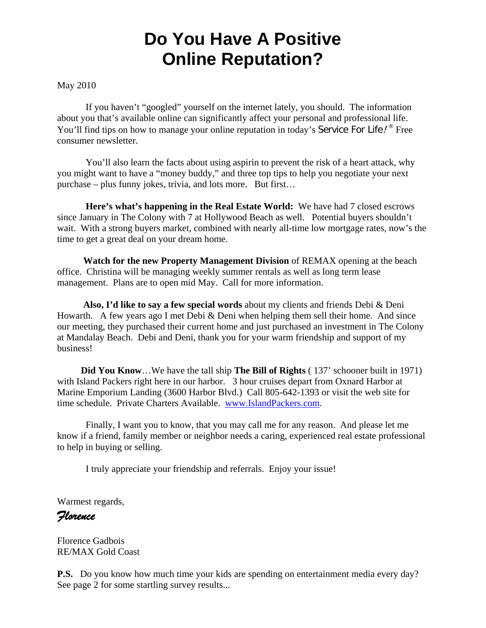# **Do You Have A Positive Online Reputation?**

#### May 2010

 If you haven't "googled" yourself on the internet lately, you should. The information about you that's available online can significantly affect your personal and professional life. You'll find tips on how to manage your online reputation in today's Service For Life!<sup><sup>®</sup> Free</sup> consumer newsletter.

You'll also learn the facts about using aspirin to prevent the risk of a heart attack, why you might want to have a "money buddy," and three top tips to help you negotiate your next purchase – plus funny jokes, trivia, and lots more. But first…

**Here's what's happening in the Real Estate World:** We have had 7 closed escrows since January in The Colony with 7 at Hollywood Beach as well. Potential buyers shouldn't wait. With a strong buyers market, combined with nearly all-time low mortgage rates, now's the time to get a great deal on your dream home.

 **Watch for the new Property Management Division** of REMAX opening at the beach office. Christina will be managing weekly summer rentals as well as long term lease management. Plans are to open mid May. Call for more information.

 **Also, I'd like to say a few special words** about my clients and friends Debi & Deni Howarth. A few years ago I met Debi & Deni when helping them sell their home. And since our meeting, they purchased their current home and just purchased an investment in The Colony at Mandalay Beach. Debi and Deni, thank you for your warm friendship and support of my business!

 **Did You Know**…We have the tall ship **The Bill of Rights** ( 137' schooner built in 1971) with Island Packers right here in our harbor. 3 hour cruises depart from Oxnard Harbor at Marine Emporium Landing (3600 Harbor Blvd.) Call 805-642-1393 or visit the web site for time schedule. Private Charters Available. www.IslandPackers.com.

 Finally, I want you to know, that you may call me for any reason. And please let me know if a friend, family member or neighbor needs a caring, experienced real estate professional to help in buying or selling.

I truly appreciate your friendship and referrals. Enjoy your issue!

Warmest regards,

*Florence* 

Florence Gadbois RE/MAX Gold Coast

**P.S.** Do you know how much time your kids are spending on entertainment media every day? See page 2 for some startling survey results...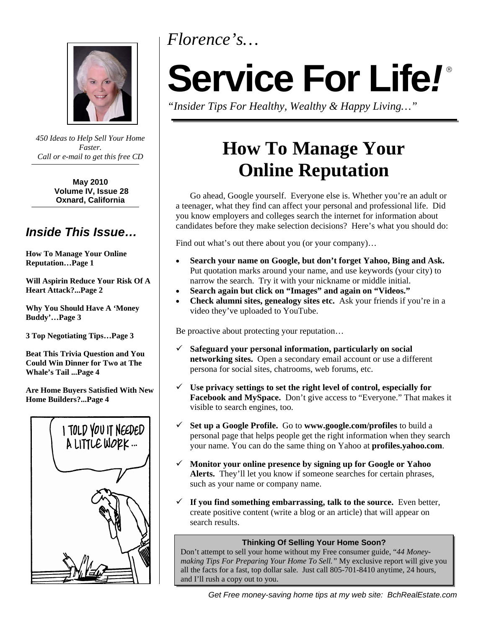*Florence's…* 



*450 Ideas to Help Sell Your Home Faster. Call or e-mail to get this free CD* 

> **May 2010 Volume IV, Issue 28 Oxnard, California**

# *Inside This Issue…*

**How To Manage Your Online Reputation…Page 1** 

**Will Aspirin Reduce Your Risk Of A Heart Attack?...Page 2** 

**Why You Should Have A 'Money Buddy'…Page 3** 

**3 Top Negotiating Tips…Page 3** 

**Beat This Trivia Question and You Could Win Dinner for Two at The Whale's Tail ...Page 4** 

**Are Home Buyers Satisfied With New Home Builders?...Page 4** 



# **Service For Life***!*

*"Insider Tips For Healthy, Wealthy & Happy Living…"* 

# **How To Manage Your Online Reputation**

Go ahead, Google yourself. Everyone else is. Whether you're an adult or a teenager, what they find can affect your personal and professional life. Did you know employers and colleges search the internet for information about candidates before they make selection decisions? Here's what you should do:

Find out what's out there about you (or your company)...

- **Search your name on Google, but don't forget Yahoo, Bing and Ask.** Put quotation marks around your name, and use keywords (your city) to narrow the search. Try it with your nickname or middle initial.
- **Search again but click on "Images" and again on "Videos."**
- **Check alumni sites, genealogy sites etc.** Ask your friends if you're in a video they've uploaded to YouTube.

Be proactive about protecting your reputation…

- **Safeguard your personal information, particularly on social networking sites.** Open a secondary email account or use a different persona for social sites, chatrooms, web forums, etc.
- **Use privacy settings to set the right level of control, especially for Facebook and MySpace.** Don't give access to "Everyone." That makes it visible to search engines, too.
- **Set up a Google Profile.** Go to **www.google.com/profiles** to build a personal page that helps people get the right information when they search your name. You can do the same thing on Yahoo at **profiles.yahoo.com**.
- **Monitor your online presence by signing up for Google or Yahoo Alerts.** They'll let you know if someone searches for certain phrases, such as your name or company name.
- $\checkmark$  If you find something embarrassing, talk to the source. Even better, create positive content (write a blog or an article) that will appear on search results.

#### **Thinking Of Selling Your Home Soon?**

Don't attempt to sell your home without my Free consumer guide, "*44 Moneymaking Tips For Preparing Your Home To Sell."* My exclusive report will give you all the facts for a fast, top dollar sale. Just call 805-701-8410 anytime, 24 hours, and I'll rush a copy out to you.

*Get Free money-saving home tips at my web site: BchRealEstate.com*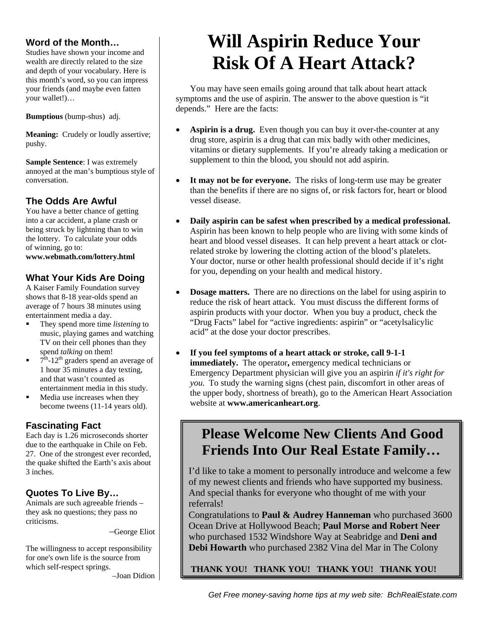### **Word of the Month…**

Studies have shown your income and wealth are directly related to the size and depth of your vocabulary. Here is this month's word, so you can impress your friends (and maybe even fatten your wallet!)…

**Bumptious** (bump-shus) adj.

**Meaning:** Crudely or loudly assertive; pushy.

**Sample Sentence**: I was extremely annoyed at the man's bumptious style of conversation.

# **The Odds Are Awful**

You have a better chance of getting into a car accident, a plane crash or being struck by lightning than to win the lottery. To calculate your odds of winning, go to:

**www.webmath.com/lottery.html** 

# **What Your Kids Are Doing**

 A Kaiser Family Foundation survey shows that 8-18 year-olds spend an entertainment media a day. average of 7 hours 38 minutes using

- $\blacksquare$  They spend more time *listening* to music, playing games and watching TV on their cell phones than they spend *talking* on them!
- $\blacksquare$  7<sup>th</sup>-12<sup>th</sup> graders spend an average of 1 hour 35 minutes a day texting, and that wasn't counted as entertainment media in this study.
- Media use increases when they become tweens (11-14 years old).

# **Fascinating Fact**

 Each day is 1.26 microseconds shorter due to the earthquake in Chile on Feb. 27. One of the strongest ever recorded, the quake shifted the Earth's axis about 3 inches.

# **Quotes To Live By…**

Animals are such agreeable friends – they ask no questions; they pass no criticisms.

–George Eliot

The willingness to accept responsibility for one's own life is the source from which self-respect springs.

–Joan Didion

# **Will Aspirin Reduce Your Risk Of A Heart Attack?**

You may have seen emails going around that talk about heart attack symptoms and the use of aspirin. The answer to the above question is "it depends." Here are the facts:

- **Aspirin is a drug.** Even though you can buy it over-the-counter at any drug store, aspirin is a drug that can mix badly with other medicines, vitamins or dietary supplements. If you're already taking a medication or supplement to thin the blood, you should not add aspirin.
- It may not be for everyone. The risks of long-term use may be greater than the benefits if there are no signs of, or risk factors for, heart or blood vessel disease.
- **Daily aspirin can be safest when prescribed by a medical professional.**  Aspirin has been known to help people who are living with some kinds of heart and blood vessel diseases. It can help prevent a heart attack or clotrelated stroke by lowering the clotting action of the blood's platelets. Your doctor, nurse or other health professional should decide if it's right for you, depending on your health and medical history.
- **Dosage matters.** There are no directions on the label for using aspirin to reduce the risk of heart attack. You must discuss the different forms of aspirin products with your doctor. When you buy a product, check the "Drug Facts" label for "active ingredients: aspirin" or "acetylsalicylic acid" at the dose your doctor prescribes.
- **If you feel symptoms of a heart attack or stroke, call 9-1-1 immediately.** The operator, emergency medical technicians or Emergency Department physician will give you an aspirin *if it's right for you.* To study the warning signs (chest pain, discomfort in other areas of the upper body, shortness of breath), go to the American Heart Association website at **www.americanheart.org**.

# **Please Welcome New Clients And Good Friends Into Our Real Estate Family…**

I'd like to take a moment to personally introduce and welcome a few of my newest clients and friends who have supported my business. And special thanks for everyone who thought of me with your referrals!

Congratulations to **Paul & Audrey Hanneman** who purchased 3600 Ocean Drive at Hollywood Beach; **Paul Morse and Robert Neer** who purchased 1532 Windshore Way at Seabridge and **Deni and Debi Howarth** who purchased 2382 Vina del Mar in The Colony

 **THANK YOU! THANK YOU! THANK YOU! THANK YOU!**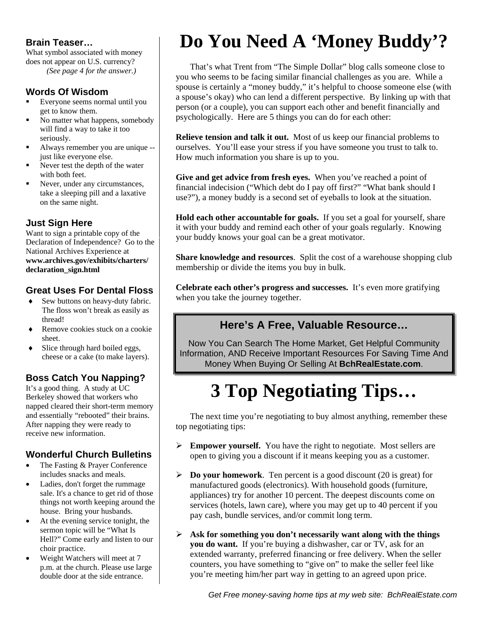### **Brain Teaser…**

What symbol associated with money does not appear on U.S. currency?  *(See page 4 for the answer.)* 

### **Words Of Wisdom**

- Everyone seems normal until you get to know them.
- No matter what happens, somebody will find a way to take it too seriously.
- Always remember you are unique just like everyone else.
- $\overline{a}$  Never test the depth of the water with both feet.
- Never, under any circumstances, take a sleeping pill and a laxative on the same night.

### **Just Sign Here**

Want to sign a printable copy of the Declaration of Independence? Go to the National Archives Experience at **www.archives.gov/exhibits/charters/ declaration\_sign.html** 

# **Great Uses For Dental Floss**

- ◆ Sew buttons on heavy-duty fabric. The floss won't break as easily as thread!
- $\bullet$  Remove cookies stuck on a cookie sheet.
- $\bullet$  Slice through hard boiled eggs, cheese or a cake (to make layers).

# **Boss Catch You Napping?**

After napping they were receive new information. It's a good thing. A study at UC Berkeley showed that workers who napped cleared their short-term memory and essentially "rebooted" their brains. After napping they were ready to

# **Wonderful Church Bulletins**

- l, The Fasting & Prayer Conference includes snacks and meals.
- Ladies, don't forget the rummage sale. It's a chance to get rid of those things not worth keeping around the house. Bring your husbands.
- At the evening service tonight, the sermon topic will be "What Is Hell?" Come early and listen to our choir practice.
- Weight Watchers will meet at 7 p.m. at the church. Please use large double door at the side entrance.

# **Do You Need A 'Money Buddy'?**

That's what Trent from "The Simple Dollar" blog calls someone close to you who seems to be facing similar financial challenges as you are. While a spouse is certainly a "money buddy," it's helpful to choose someone else (with a spouse's okay) who can lend a different perspective. By linking up with that person (or a couple), you can support each other and benefit financially and psychologically. Here are 5 things you can do for each other:

**Relieve tension and talk it out.** Most of us keep our financial problems to ourselves. You'll ease your stress if you have someone you trust to talk to. How much information you share is up to you.

**Give and get advice from fresh eyes.** When you've reached a point of financial indecision ("Which debt do I pay off first?" "What bank should I use?"), a money buddy is a second set of eyeballs to look at the situation.

**Hold each other accountable for goals.** If you set a goal for yourself, share it with your buddy and remind each other of your goals regularly. Knowing your buddy knows your goal can be a great motivator.

**Share knowledge and resources**. Split the cost of a warehouse shopping club membership or divide the items you buy in bulk.

**Celebrate each other's progress and successes.** It's even more gratifying when you take the journey together.

# **Here's A Free, Valuable Resource…**

Now You Can Search The Home Market, Get Helpful Community Information, AND Receive Important Resources For Saving Time And Money When Buying Or Selling At **BchRealEstate.com**.

# **3 Top Negotiating Tips…**

The next time you're negotiating to buy almost anything, remember these top negotiating tips:

- **Empower yourself.** You have the right to negotiate. Most sellers are open to giving you a discount if it means keeping you as a customer.
- **Do your homework**. Ten percent is a good discount (20 is great) for manufactured goods (electronics). With household goods (furniture, appliances) try for another 10 percent. The deepest discounts come on services (hotels, lawn care), where you may get up to 40 percent if you pay cash, bundle services, and/or commit long term.
- **Ask for something you don't necessarily want along with the things you do want.** If you're buying a dishwasher, car or TV, ask for an extended warranty, preferred financing or free delivery. When the seller counters, you have something to "give on" to make the seller feel like you're meeting him/her part way in getting to an agreed upon price.

*Get Free money-saving home tips at my web site: BchRealEstate.com*